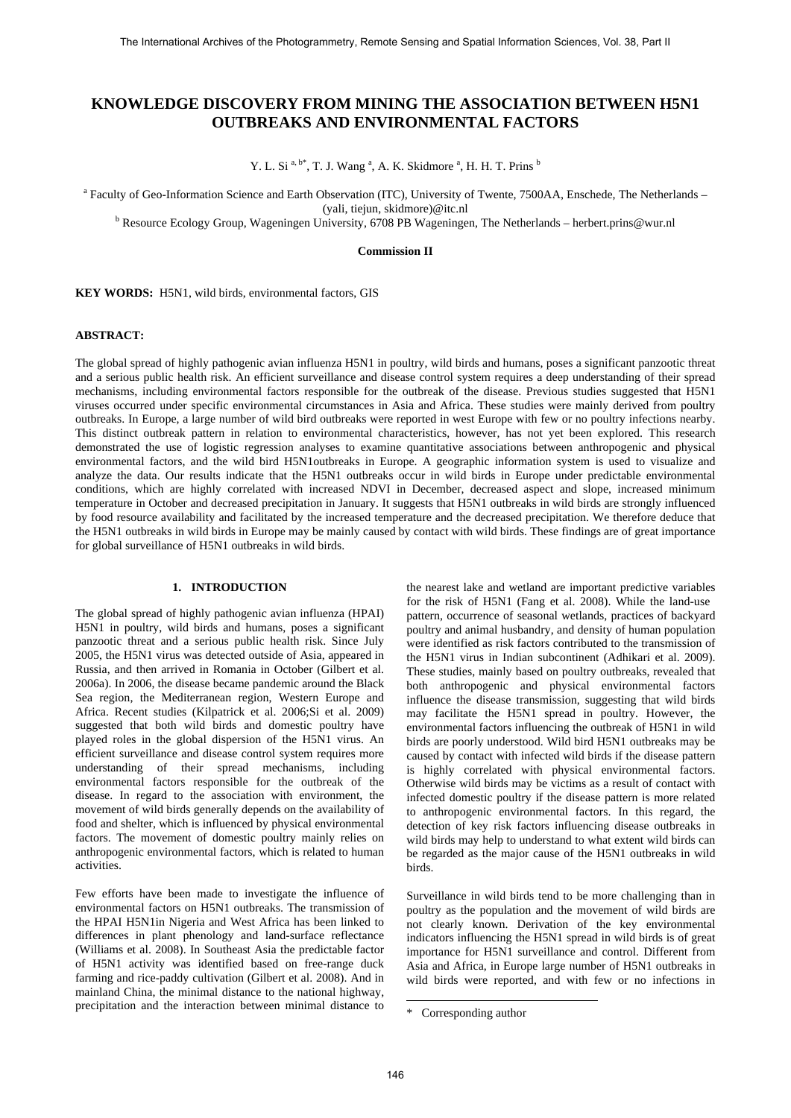# **KNOWLEDGE DISCOVERY FROM MINING THE ASSOCIATION BETWEEN H5N1 OUTBREAKS AND ENVIRONMENTAL FACTORS**

Y. L. Si<sup>a, b\*</sup>, T. J. Wang<sup>a</sup>, A. K. Skidmore<sup>a</sup>, H. H. T. Prins<sup>b</sup>

a Faculty of Geo-Information Science and Earth Observation (ITC), University of Twente, 7500AA, Enschede, The Netherlands –

yali, tiejun, skidmore)@itc.nl<br><sup>b</sup> Resource Ecology Group, Wageningen University, 6708 PB Wageningen, The Netherlands – herbert.prins@wur.nl

# **Commission II**

**KEY WORDS:** H5N1, wild birds, environmental factors, GIS

## **ABSTRACT:**

The global spread of highly pathogenic avian influenza H5N1 in poultry, wild birds and humans, poses a significant panzootic threat and a serious public health risk. An efficient surveillance and disease control system requires a deep understanding of their spread mechanisms, including environmental factors responsible for the outbreak of the disease. Previous studies suggested that H5N1 viruses occurred under specific environmental circumstances in Asia and Africa. These studies were mainly derived from poultry outbreaks. In Europe, a large number of wild bird outbreaks were reported in west Europe with few or no poultry infections nearby. This distinct outbreak pattern in relation to environmental characteristics, however, has not yet been explored. This research demonstrated the use of logistic regression analyses to examine quantitative associations between anthropogenic and physical environmental factors, and the wild bird H5N1outbreaks in Europe. A geographic information system is used to visualize and analyze the data. Our results indicate that the H5N1 outbreaks occur in wild birds in Europe under predictable environmental conditions, which are highly correlated with increased NDVI in December, decreased aspect and slope, increased minimum temperature in October and decreased precipitation in January. It suggests that H5N1 outbreaks in wild birds are strongly influenced by food resource availability and facilitated by the increased temperature and the decreased precipitation. We therefore deduce that the H5N1 outbreaks in wild birds in Europe may be mainly caused by contact with wild birds. These findings are of great importance for global surveillance of H5N1 outbreaks in wild birds.

# **1. INTRODUCTION**

The global spread of highly pathogenic avian influenza (HPAI) H5N1 in poultry, wild birds and humans, poses a significant panzootic threat and a serious public health risk. Since July 2005, the H5N1 virus was detected outside of Asia, appeared in Russia, and then arrived in Romania in October (Gilbert et al. 2006a). In 2006, the disease became pandemic around the Black Sea region, the Mediterranean region, Western Europe and Africa. Recent studies (Kilpatrick et al. 2006;Si et al. 2009) suggested that both wild birds and domestic poultry have played roles in the global dispersion of the H5N1 virus. An efficient surveillance and disease control system requires more understanding of their spread mechanisms, including environmental factors responsible for the outbreak of the disease. In regard to the association with environment, the movement of wild birds generally depends on the availability of food and shelter, which is influenced by physical environmental factors. The movement of domestic poultry mainly relies on anthropogenic environmental factors, which is related to human activities.

<span id="page-0-0"></span>Few efforts have been made to investigate the influence of environmental factors on H5N1 outbreaks. The transmission of the HPAI H5N1in Nigeria and West Africa has been linked to differences in plant phenology and land-surface reflectance (Williams et al. 2008). In Southeast Asia the predictable factor of H5N1 activity was identified based on free-range duck farming and rice-paddy cultivation (Gilbert et al. 2008). And in mainland China, the minimal distance to the national highway, precipitation and the interaction between minimal distance to the nearest lake and wetland are important predictive variables for the risk of H5N[1](#page-0-0) (Fang et al. 2008). While the land-use pattern, occurrence of seasonal wetlands, practices of backyard poultry and animal husbandry, and density of human population were identified as risk factors contributed to the transmission of the H5N1 virus in Indian subcontinent (Adhikari et al. 2009). These studies, mainly based on poultry outbreaks, revealed that both anthropogenic and physical environmental factors influence the disease transmission, suggesting that wild birds may facilitate the H5N1 spread in poultry. However, the environmental factors influencing the outbreak of H5N1 in wild birds are poorly understood. Wild bird H5N1 outbreaks may be caused by contact with infected wild birds if the disease pattern is highly correlated with physical environmental factors. Otherwise wild birds may be victims as a result of contact with infected domestic poultry if the disease pattern is more related to anthropogenic environmental factors. In this regard, the detection of key risk factors influencing disease outbreaks in wild birds may help to understand to what extent wild birds can be regarded as the major cause of the H5N1 outbreaks in wild birds.

Surveillance in wild birds tend to be more challenging than in poultry as the population and the movement of wild birds are not clearly known. Derivation of the key environmental indicators influencing the H5N1 spread in wild birds is of great importance for H5N1 surveillance and control. Different from Asia and Africa, in Europe large number of H5N1 outbreaks in wild birds were reported, and with few or no infections in

 $\overline{\phantom{a}}$ 

<sup>\*</sup> Corresponding author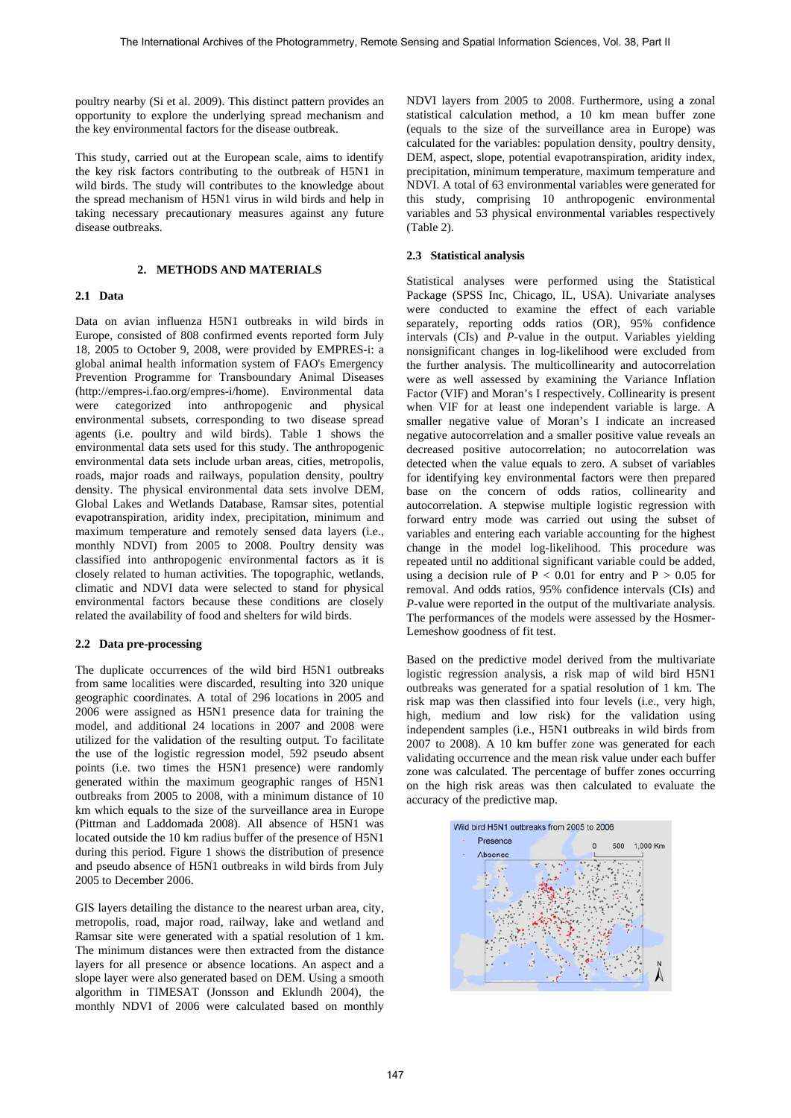poultry nearby (Si et al. 2009). This distinct pattern provides an opportunity to explore the underlying spread mechanism and the key environmental factors for the disease outbreak.

This study, carried out at the European scale, aims to identify the key risk factors contributing to the outbreak of H5N1 in wild birds. The study will contributes to the knowledge about the spread mechanism of H5N1 virus in wild birds and help in taking necessary precautionary measures against any future disease outbreaks.

# **2. METHODS AND MATERIALS**

# **2.1 Data**

Data on avian influenza H5N1 outbreaks in wild birds in Europe, consisted of 808 confirmed events reported form July 18, 2005 to October 9, 2008, were provided by EMPRES-i: a global animal health information system of FAO's Emergency Prevention Programme for Transboundary Animal Diseases (<http://empres-i.fao.org/empres-i/home>). Environmental data were categorized into anthropogenic and physical environmental subsets, corresponding to two disease spread agents (i.e. poultry and wild birds). Table 1 shows the environmental data sets used for this study. The anthropogenic environmental data sets include urban areas, cities, metropolis, roads, major roads and railways, population density, poultry density. The physical environmental data sets involve DEM, Global Lakes and Wetlands Database, Ramsar sites, potential evapotranspiration, aridity index, precipitation, minimum and maximum temperature and remotely sensed data layers (i.e., monthly NDVI) from 2005 to 2008. Poultry density was classified into anthropogenic environmental factors as it is closely related to human activities. The topographic, wetlands, climatic and NDVI data were selected to stand for physical environmental factors because these conditions are closely related the availability of food and shelters for wild birds.

# **2.2 Data pre-processing**

The duplicate occurrences of the wild bird H5N1 outbreaks from same localities were discarded, resulting into 320 unique geographic coordinates. A total of 296 locations in 2005 and 2006 were assigned as H5N1 presence data for training the model, and additional 24 locations in 2007 and 2008 were utilized for the validation of the resulting output. To facilitate the use of the logistic regression model, 592 pseudo absent points (i.e. two times the H5N1 presence) were randomly generated within the maximum geographic ranges of H5N1 outbreaks from 2005 to 2008, with a minimum distance of 10 km which equals to the size of the surveillance area in Europe (Pittman and Laddomada 2008). All absence of H5N1 was located outside the 10 km radius buffer of the presence of H5N1 during this period. Figure 1 shows the distribution of presence and pseudo absence of H5N1 outbreaks in wild birds from July 2005 to December 2006.

GIS layers detailing the distance to the nearest urban area, city, metropolis, road, major road, railway, lake and wetland and Ramsar site were generated with a spatial resolution of 1 km. The minimum distances were then extracted from the distance layers for all presence or absence locations. An aspect and a slope layer were also generated based on DEM. Using a smooth algorithm in TIMESAT (Jonsson and Eklundh 2004), the monthly NDVI of 2006 were calculated based on monthly

NDVI layers from 2005 to 2008. Furthermore, using a zonal statistical calculation method, a 10 km mean buffer zone (equals to the size of the surveillance area in Europe) was calculated for the variables: population density, poultry density, DEM, aspect, slope, potential evapotranspiration, aridity index, precipitation, minimum temperature, maximum temperature and NDVI. A total of 63 environmental variables were generated for this study, comprising 10 anthropogenic environmental variables and 53 physical environmental variables respectively (Table 2).

#### **2.3 Statistical analysis**

Statistical analyses were performed using the Statistical Package (SPSS Inc, Chicago, IL, USA). Univariate analyses were conducted to examine the effect of each variable separately, reporting odds ratios (OR), 95% confidence intervals (CIs) and *P*-value in the output. Variables yielding nonsignificant changes in log-likelihood were excluded from the further analysis. The multicollinearity and autocorrelation were as well assessed by examining the Variance Inflation Factor (VIF) and Moran's I respectively. Collinearity is present when VIF for at least one independent variable is large. A smaller negative value of Moran's I indicate an increased negative autocorrelation and a smaller positive value reveals an decreased positive autocorrelation; no autocorrelation was detected when the value equals to zero. A subset of variables for identifying key environmental factors were then prepared base on the concern of odds ratios, collinearity and autocorrelation. A stepwise multiple logistic regression with forward entry mode was carried out using the subset of variables and entering each variable accounting for the highest change in the model log-likelihood. This procedure was repeated until no additional significant variable could be added, using a decision rule of  $P < 0.01$  for entry and  $P > 0.05$  for removal. And odds ratios, 95% confidence intervals (CIs) and *P*-value were reported in the output of the multivariate analysis. The performances of the models were assessed by the Hosmer-Lemeshow goodness of fit test.

Based on the predictive model derived from the multivariate logistic regression analysis, a risk map of wild bird H5N1 outbreaks was generated for a spatial resolution of 1 km. The risk map was then classified into four levels (i.e., very high, high, medium and low risk) for the validation using independent samples (i.e., H5N1 outbreaks in wild birds from 2007 to 2008). A 10 km buffer zone was generated for each validating occurrence and the mean risk value under each buffer zone was calculated. The percentage of buffer zones occurring on the high risk areas was then calculated to evaluate the accuracy of the predictive map.

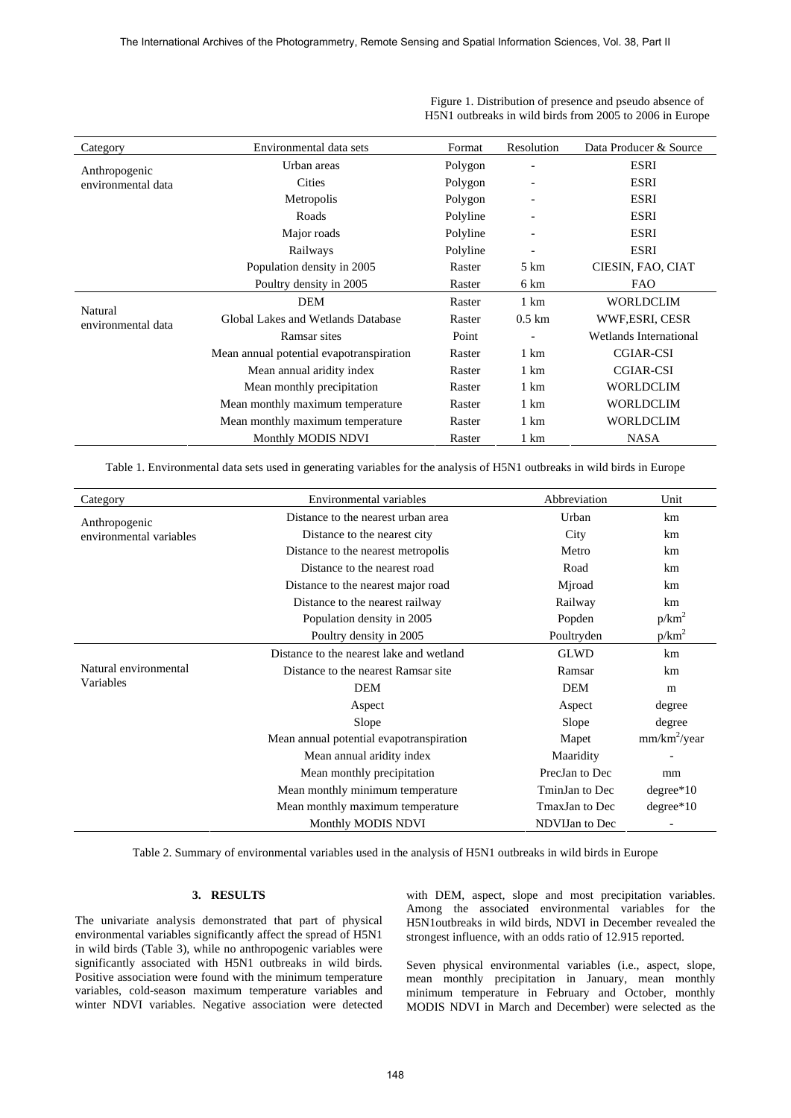| Category                                                             | Environmental data sets                  | Format   | Resolution                    | Data Producer & Source |
|----------------------------------------------------------------------|------------------------------------------|----------|-------------------------------|------------------------|
| Anthropogenic<br>environmental data<br>Natural<br>environmental data | Urban areas                              | Polygon  |                               | <b>ESRI</b>            |
|                                                                      | <b>Cities</b>                            | Polygon  | -                             | <b>ESRI</b>            |
|                                                                      | Metropolis<br>Polygon                    |          | -                             | <b>ESRI</b>            |
|                                                                      | Roads                                    | Polyline | -                             | ESRI                   |
|                                                                      | Major roads                              | Polyline | $\overline{\phantom{a}}$      | <b>ESRI</b>            |
|                                                                      | Railways                                 | Polyline | $\overline{a}$                | <b>ESRI</b>            |
|                                                                      | Population density in 2005               | Raster   | 5 km                          | CIESIN, FAO, CIAT      |
|                                                                      | Poultry density in 2005                  | Raster   | 6 km                          | <b>FAO</b>             |
|                                                                      | DEM                                      | Raster   | $1 \text{ km}$                | <b>WORLDCLIM</b>       |
|                                                                      | Global Lakes and Wetlands Database       | Raster   | $0.5 \mathrm{km}$             | WWF,ESRI, CESR         |
|                                                                      | Ramsar sites                             | Point    | <b>Wetlands International</b> |                        |
|                                                                      | Mean annual potential evapotranspiration | Raster   | 1 km                          | CGIAR-CSI              |
|                                                                      | Mean annual aridity index                | Raster   | $1 \text{ km}$                | CGIAR-CSI              |
|                                                                      | Mean monthly precipitation               | Raster   | $1 \text{ km}$                | <b>WORLDCLIM</b>       |
|                                                                      | Mean monthly maximum temperature         | Raster   | $1 \text{ km}$                | <b>WORLDCLIM</b>       |
|                                                                      | Mean monthly maximum temperature         | Raster   | $1 \text{ km}$                | <b>WORLDCLIM</b>       |
|                                                                      | Monthly MODIS NDVI                       | Raster   | 1 km                          | <b>NASA</b>            |

 Figure 1. Distribution of presence and pseudo absence of H5N1 outbreaks in wild birds from 2005 to 2006 in Europe

Table 1. Environmental data sets used in generating variables for the analysis of H5N1 outbreaks in wild birds in Europe

| Category                | Environmental variables                  | Abbreviation   | Unit                     |
|-------------------------|------------------------------------------|----------------|--------------------------|
| Anthropogenic           | Distance to the nearest urban area       | Urban          | km                       |
| environmental variables | Distance to the nearest city             | City           | km                       |
|                         | Distance to the nearest metropolis       | Metro          | km                       |
|                         | Distance to the nearest road             |                | km                       |
|                         | Distance to the nearest major road       |                | km                       |
|                         | Distance to the nearest railway          | Railway        | km                       |
|                         | Population density in 2005               | Popden         |                          |
|                         | Poultry density in 2005                  | Poultryden     | $p/km^2$                 |
|                         | Distance to the nearest lake and wetland | <b>GLWD</b>    | km                       |
| Natural environmental   | Distance to the nearest Ramsar site      | Ramsar         | km                       |
| Variables               | DEM                                      | <b>DEM</b>     | m                        |
|                         | Aspect                                   | Aspect         | degree                   |
|                         | Slope<br>Slope                           |                | degree                   |
|                         | Mean annual potential evapotranspiration | Mapet          | mm/km <sup>2</sup> /year |
|                         | Mean annual aridity index                | Maaridity      |                          |
|                         | Mean monthly precipitation               | PrecJan to Dec | mm                       |
|                         | Mean monthly minimum temperature         | TminJan to Dec | $degree*10$              |
|                         | Mean monthly maximum temperature         | TmaxJan to Dec | $degree*10$              |
|                         | Monthly MODIS NDVI                       | NDVIJan to Dec |                          |

Table 2. Summary of environmental variables used in the analysis of H5N1 outbreaks in wild birds in Europe

# **3. RESULTS**

The univariate analysis demonstrated that part of physical environmental variables significantly affect the spread of H5N1 in wild birds (Table 3), while no anthropogenic variables were significantly associated with H5N1 outbreaks in wild birds. Positive association were found with the minimum temperature variables, cold-season maximum temperature variables and winter NDVI variables. Negative association were detected with DEM, aspect, slope and most precipitation variables. Among the associated environmental variables for the H5N1outbreaks in wild birds, NDVI in December revealed the strongest influence, with an odds ratio of 12.915 reported.

Seven physical environmental variables (i.e., aspect, slope, mean monthly precipitation in January, mean monthly minimum temperature in February and October, monthly MODIS NDVI in March and December) were selected as the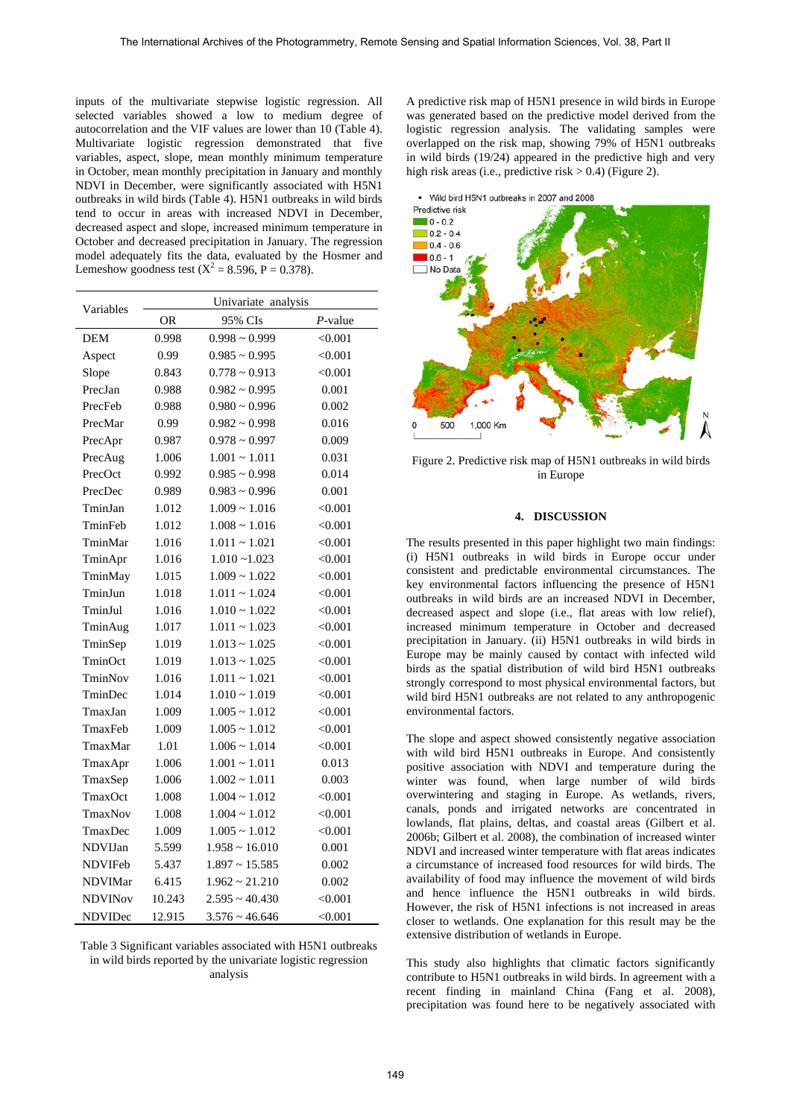inputs of the multivariate stepwise logistic regression. All selected variables showed a low to medium degree of autocorrelation and the VIF values are lower than 10 (Table 4). Multivariate logistic regression demonstrated that five variables, aspect, slope, mean monthly minimum temperature in October, mean monthly precipitation in January and monthly NDVI in December, were significantly associated with H5N1 outbreaks in wild birds (Table 4). H5N1 outbreaks in wild birds tend to occur in areas with increased NDVI in December, decreased aspect and slope, increased minimum temperature in October and decreased precipitation in January. The regression model adequately fits the data, evaluated by the Hosmer and Lemeshow goodness test  $(X^2 = 8.596, P = 0.378)$ .

| Variables      | Univariate analysis |                     |            |  |
|----------------|---------------------|---------------------|------------|--|
|                | OR                  | 95% CIs             | $P$ -value |  |
| DEM            | 0.998               | $0.998 \sim 0.999$  | < 0.001    |  |
| Aspect         | 0.99                | $0.985 \sim 0.995$  | < 0.001    |  |
| Slope          | 0.843               | $0.778 \sim 0.913$  | < 0.001    |  |
| PrecJan        | 0.988               | $0.982 \sim 0.995$  | 0.001      |  |
| PrecFeb        | 0.988               | $0.980 \sim 0.996$  | 0.002      |  |
| PrecMar        | 0.99                | $0.982 \sim 0.998$  | 0.016      |  |
| PrecApr        | 0.987               | $0.978 \sim 0.997$  | 0.009      |  |
| PrecAug        | 1.006               | $1.001 - 1.011$     | 0.031      |  |
| PrecOct        | 0.992               | $0.985 \sim 0.998$  | 0.014      |  |
| PrecDec        | 0.989               | $0.983 \sim 0.996$  | 0.001      |  |
| TminJan        | 1.012               | $1.009 \sim 1.016$  | < 0.001    |  |
| TminFeb        | 1.012               | $1.008 \sim 1.016$  | < 0.001    |  |
| TminMar        | 1.016               | $1.011 - 1.021$     | < 0.001    |  |
| TminApr        | 1.016               | $1.010 - 1.023$     | < 0.001    |  |
| TminMay        | 1.015               | $1.009 \sim 1.022$  | < 0.001    |  |
| TminJun        | 1.018               | $1.011 \sim 1.024$  | < 0.001    |  |
| TminJul        | 1.016               | $1.010 \sim 1.022$  | < 0.001    |  |
| TminAug        | 1.017               | $1.011 \sim 1.023$  | < 0.001    |  |
| TminSep        | 1.019               | $1.013 \sim 1.025$  | < 0.001    |  |
| TminOct        | 1.019               | $1.013 \sim 1.025$  | < 0.001    |  |
| TminNov        | 1.016               | $1.011 - 1.021$     | < 0.001    |  |
| TminDec        | 1.014               | $1.010 \sim 1.019$  | < 0.001    |  |
| TmaxJan        | 1.009               | $1.005 \sim 1.012$  | < 0.001    |  |
| TmaxFeb        | 1.009               | $1.005 \sim 1.012$  | < 0.001    |  |
| TmaxMar        | 1.01                | $1.006 \sim 1.014$  | < 0.001    |  |
| TmaxApr        | 1.006               | $1.001 \sim 1.011$  | 0.013      |  |
| TmaxSep        | 1.006               | $1.002 \sim 1.011$  | 0.003      |  |
| TmaxOct        | 1.008               | $1.004 \sim 1.012$  | < 0.001    |  |
| TmaxNov        | 1.008               | $1.004 \sim 1.012$  | < 0.001    |  |
| TmaxDec        | 1.009               | $1.005 \sim 1.012$  | < 0.001    |  |
| NDVIJan        | 5.599               | $1.958 \sim 16.010$ | 0.001      |  |
| NDVIFeb        | 5.437               | $1.897 \sim 15.585$ | 0.002      |  |
| <b>NDVIMar</b> | 6.415               | $1.962 \sim 21.210$ | 0.002      |  |
| <b>NDVINov</b> | 10.243              | $2.595 \sim 40.430$ | < 0.001    |  |
| NDVIDec        | 12.915              | $3.576 \sim 46.646$ | < 0.001    |  |

Table 3 Significant variables associated with H5N1 outbreaks in wild birds reported by the univariate logistic regression analysis

A predictive risk map of H5N1 presence in wild birds in Europe was generated based on the predictive model derived from the logistic regression analysis. The validating samples were overlapped on the risk map, showing 79% of H5N1 outbreaks in wild birds (19/24) appeared in the predictive high and very high risk areas (i.e., predictive risk  $> 0.4$ ) (Figure 2).

• Wild bird H5N1 outbreaks in 2007 and 2008



Figure 2. Predictive risk map of H5N1 outbreaks in wild birds in Europe

#### **4. DISCUSSION**

The results presented in this paper highlight two main findings: (i) H5N1 outbreaks in wild birds in Europe occur under consistent and predictable environmental circumstances. The key environmental factors influencing the presence of H5N1 outbreaks in wild birds are an increased NDVI in December, decreased aspect and slope (i.e., flat areas with low relief), increased minimum temperature in October and decreased precipitation in January. (ii) H5N1 outbreaks in wild birds in Europe may be mainly caused by contact with infected wild birds as the spatial distribution of wild bird H5N1 outbreaks strongly correspond to most physical environmental factors, but wild bird H5N1 outbreaks are not related to any anthropogenic environmental factors.

The slope and aspect showed consistently negative association with wild bird H5N1 outbreaks in Europe. And consistently positive association with NDVI and temperature during the winter was found, when large number of wild birds overwintering and staging in Europe. As wetlands, rivers, canals, ponds and irrigated networks are concentrated in lowlands, flat plains, deltas, and coastal areas (Gilbert et al. 2006b; Gilbert et al. 2008), the combination of increased winter NDVI and increased winter temperature with flat areas indicates a circumstance of increased food resources for wild birds. The availability of food may influence the movement of wild birds and hence influence the H5N1 outbreaks in wild birds. However, the risk of H5N1 infections is not increased in areas closer to wetlands. One explanation for this result may be the extensive distribution of wetlands in Europe.

This study also highlights that climatic factors significantly contribute to H5N1 outbreaks in wild birds. In agreement with a recent finding in mainland China (Fang et al. 2008), precipitation was found here to be negatively associated with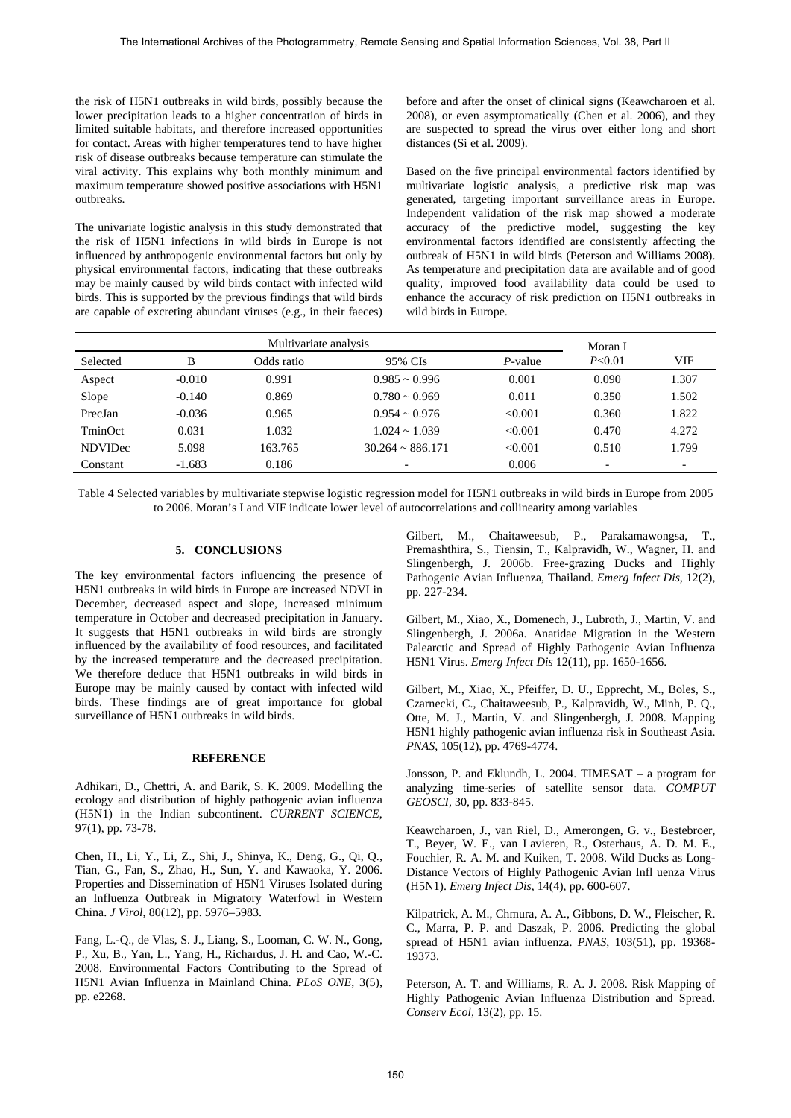the risk of H5N1 outbreaks in wild birds, possibly because the lower precipitation leads to a higher concentration of birds in limited suitable habitats, and therefore increased opportunities for contact. Areas with higher temperatures tend to have higher risk of disease outbreaks because temperature can stimulate the viral activity. This explains why both monthly minimum and maximum temperature showed positive associations with H5N1 outbreaks.

The univariate logistic analysis in this study demonstrated that the risk of H5N1 infections in wild birds in Europe is not influenced by anthropogenic environmental factors but only by physical environmental factors, indicating that these outbreaks may be mainly caused by wild birds contact with infected wild birds. This is supported by the previous findings that wild birds are capable of excreting abundant viruses (e.g., in their faeces) before and after the onset of clinical signs (Keawcharoen et al. 2008), or even asymptomatically (Chen et al. 2006), and they are suspected to spread the virus over either long and short distances (Si et al. 2009).

Based on the five principal environmental factors identified by multivariate logistic analysis, a predictive risk map was generated, targeting important surveillance areas in Europe. Independent validation of the risk map showed a moderate accuracy of the predictive model, suggesting the key environmental factors identified are consistently affecting the outbreak of H5N1 in wild birds (Peterson and Williams 2008). As temperature and precipitation data are available and of good quality, improved food availability data could be used to enhance the accuracy of risk prediction on H5N1 outbreaks in wild birds in Europe.

| Multivariate analysis |          |            | Moran I                  |            |        |       |
|-----------------------|----------|------------|--------------------------|------------|--------|-------|
| Selected              | B        | Odds ratio | 95% CIs                  | $P$ -value | P<0.01 | VIF   |
| Aspect                | $-0.010$ | 0.991      | $0.985 \sim 0.996$       | 0.001      | 0.090  | 1.307 |
| Slope                 | $-0.140$ | 0.869      | $0.780 \sim 0.969$       | 0.011      | 0.350  | 1.502 |
| PrecJan               | $-0.036$ | 0.965      | $0.954 \sim 0.976$       | < 0.001    | 0.360  | 1.822 |
| TminOct               | 0.031    | 1.032      | $1.024 \sim 1.039$       | < 0.001    | 0.470  | 4.272 |
| <b>NDVIDec</b>        | 5.098    | 163.765    | $30.264 \approx 886.171$ | < 0.001    | 0.510  | 1.799 |
| Constant              | $-1.683$ | 0.186      |                          | 0.006      |        |       |

Table 4 Selected variables by multivariate stepwise logistic regression model for H5N1 outbreaks in wild birds in Europe from 2005 to 2006. Moran's I and VIF indicate lower level of autocorrelations and collinearity among variables

## **5. CONCLUSIONS**

The key environmental factors influencing the presence of H5N1 outbreaks in wild birds in Europe are increased NDVI in December, decreased aspect and slope, increased minimum temperature in October and decreased precipitation in January. It suggests that H5N1 outbreaks in wild birds are strongly influenced by the availability of food resources, and facilitated by the increased temperature and the decreased precipitation. We therefore deduce that H5N1 outbreaks in wild birds in Europe may be mainly caused by contact with infected wild birds. These findings are of great importance for global surveillance of H5N1 outbreaks in wild birds.

#### **REFERENCE**

Adhikari, D., Chettri, A. and Barik, S. K. 2009. Modelling the ecology and distribution of highly pathogenic avian influenza (H5N1) in the Indian subcontinent. *CURRENT SCIENCE*, 97(1), pp. 73-78.

Chen, H., Li, Y., Li, Z., Shi, J., Shinya, K., Deng, G., Qi, Q., Tian, G., Fan, S., Zhao, H., Sun, Y. and Kawaoka, Y. 2006. Properties and Dissemination of H5N1 Viruses Isolated during an Influenza Outbreak in Migratory Waterfowl in Western China. *J Virol*, 80(12), pp. 5976–5983.

Fang, L.-Q., de Vlas, S. J., Liang, S., Looman, C. W. N., Gong, P., Xu, B., Yan, L., Yang, H., Richardus, J. H. and Cao, W.-C. 2008. Environmental Factors Contributing to the Spread of H5N1 Avian Influenza in Mainland China. *PLoS ONE*, 3(5), pp. e2268.

Gilbert, M., Chaitaweesub, P., Parakamawongsa, Premashthira, S., Tiensin, T., Kalpravidh, W., Wagner, H. and Slingenbergh, J. 2006b. Free-grazing Ducks and Highly Pathogenic Avian Influenza, Thailand. *Emerg Infect Dis*, 12(2), pp. 227-234.

Gilbert, M., Xiao, X., Domenech, J., Lubroth, J., Martin, V. and Slingenbergh, J. 2006a. Anatidae Migration in the Western Palearctic and Spread of Highly Pathogenic Avian Influenza H5N1 Virus. *Emerg Infect Dis* 12(11), pp. 1650-1656.

Gilbert, M., Xiao, X., Pfeiffer, D. U., Epprecht, M., Boles, S., Czarnecki, C., Chaitaweesub, P., Kalpravidh, W., Minh, P. Q., Otte, M. J., Martin, V. and Slingenbergh, J. 2008. Mapping H5N1 highly pathogenic avian influenza risk in Southeast Asia. *PNAS*, 105(12), pp. 4769-4774.

Jonsson, P. and Eklundh, L. 2004. TIMESAT – a program for analyzing time-series of satellite sensor data. *COMPUT GEOSCI*, 30, pp. 833-845.

Keawcharoen, J., van Riel, D., Amerongen, G. v., Bestebroer, T., Beyer, W. E., van Lavieren, R., Osterhaus, A. D. M. E., Fouchier, R. A. M. and Kuiken, T. 2008. Wild Ducks as Long-Distance Vectors of Highly Pathogenic Avian Infl uenza Virus (H5N1). *Emerg Infect Dis*, 14(4), pp. 600-607.

Kilpatrick, A. M., Chmura, A. A., Gibbons, D. W., Fleischer, R. C., Marra, P. P. and Daszak, P. 2006. Predicting the global spread of H5N1 avian influenza. *PNAS*, 103(51), pp. 19368- 19373.

Peterson, A. T. and Williams, R. A. J. 2008. Risk Mapping of Highly Pathogenic Avian Influenza Distribution and Spread. *Conserv Ecol*, 13(2), pp. 15.